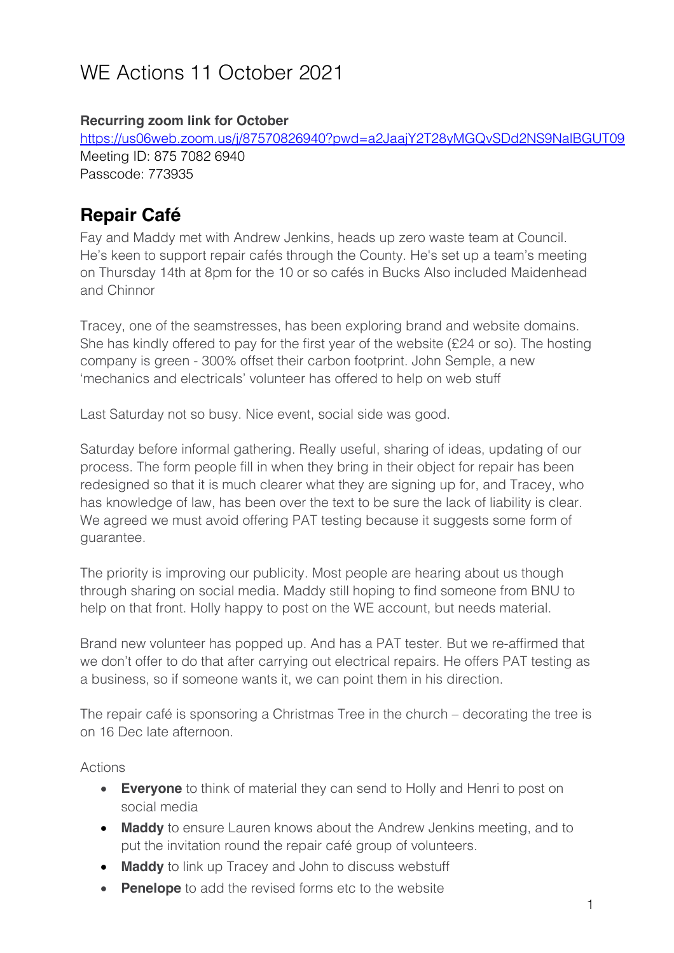# WE Actions 11 October 2021

#### **Recurring zoom link for October**

https://us06web.zoom.us/j/87570826940?pwd=a2JaajY2T28yMGQvSDd2NS9NalBGUT09 Meeting ID: 875 7082 6940 Passcode: 773935

### **Repair Café**

Fay and Maddy met with Andrew Jenkins, heads up zero waste team at Council. He's keen to support repair cafés through the County. He's set up a team's meeting on Thursday 14th at 8pm for the 10 or so cafés in Bucks Also included Maidenhead and Chinnor

Tracey, one of the seamstresses, has been exploring brand and website domains. She has kindly offered to pay for the first year of the website (£24 or so). The hosting company is green - 300% offset their carbon footprint. John Semple, a new 'mechanics and electricals' volunteer has offered to help on web stuff

Last Saturday not so busy. Nice event, social side was good.

Saturday before informal gathering. Really useful, sharing of ideas, updating of our process. The form people fill in when they bring in their object for repair has been redesigned so that it is much clearer what they are signing up for, and Tracey, who has knowledge of law, has been over the text to be sure the lack of liability is clear. We agreed we must avoid offering PAT testing because it suggests some form of guarantee.

The priority is improving our publicity. Most people are hearing about us though through sharing on social media. Maddy still hoping to find someone from BNU to help on that front. Holly happy to post on the WE account, but needs material.

Brand new volunteer has popped up. And has a PAT tester. But we re-affirmed that we don't offer to do that after carrying out electrical repairs. He offers PAT testing as a business, so if someone wants it, we can point them in his direction.

The repair café is sponsoring a Christmas Tree in the church – decorating the tree is on 16 Dec late afternoon.

Actions

- **Everyone** to think of material they can send to Holly and Henri to post on social media
- **Maddy** to ensure Lauren knows about the Andrew Jenkins meeting, and to put the invitation round the repair café group of volunteers.
- **Maddy** to link up Tracey and John to discuss webstuff
- **Penelope** to add the revised forms etc to the website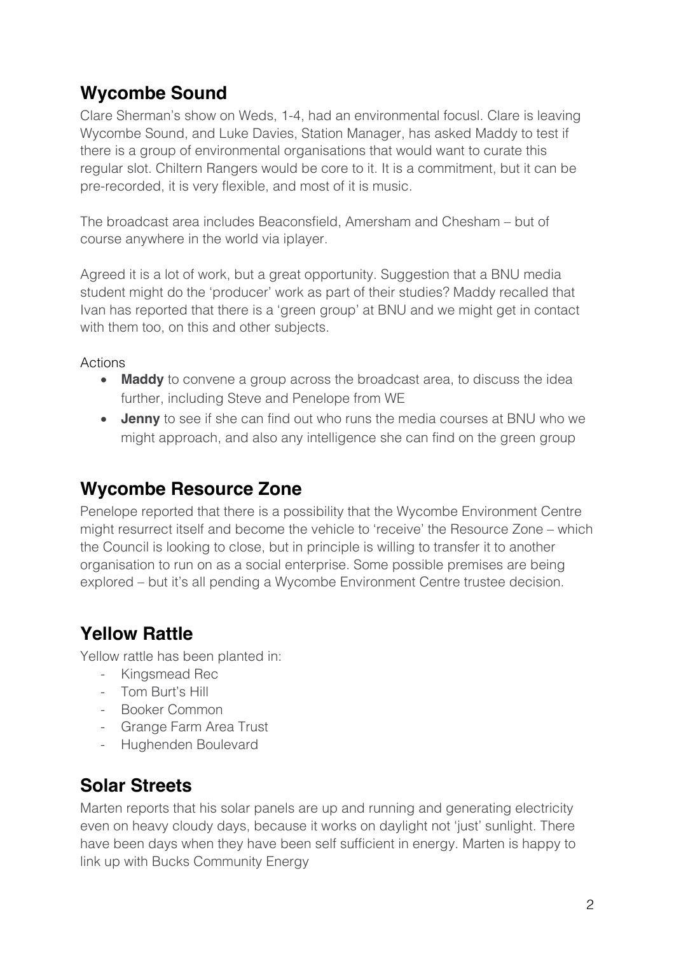### **Wycombe Sound**

Clare Sherman's show on Weds, 1-4, had an environmental focusl. Clare is leaving Wycombe Sound, and Luke Davies, Station Manager, has asked Maddy to test if there is a group of environmental organisations that would want to curate this regular slot. Chiltern Rangers would be core to it. It is a commitment, but it can be pre-recorded, it is very flexible, and most of it is music.

The broadcast area includes Beaconsfield, Amersham and Chesham – but of course anywhere in the world via iplayer.

Agreed it is a lot of work, but a great opportunity. Suggestion that a BNU media student might do the 'producer' work as part of their studies? Maddy recalled that Ivan has reported that there is a 'green group' at BNU and we might get in contact with them too, on this and other subjects.

Actions

- **Maddy** to convene a group across the broadcast area, to discuss the idea further, including Steve and Penelope from WE
- **Jenny** to see if she can find out who runs the media courses at BNU who we might approach, and also any intelligence she can find on the green group

### **Wycombe Resource Zone**

Penelope reported that there is a possibility that the Wycombe Environment Centre might resurrect itself and become the vehicle to 'receive' the Resource Zone – which the Council is looking to close, but in principle is willing to transfer it to another organisation to run on as a social enterprise. Some possible premises are being explored – but it's all pending a Wycombe Environment Centre trustee decision.

### **Yellow Rattle**

Yellow rattle has been planted in:

- Kingsmead Rec
- Tom Burt's Hill
- Booker Common
- Grange Farm Area Trust
- Hughenden Boulevard

### **Solar Streets**

Marten reports that his solar panels are up and running and generating electricity even on heavy cloudy days, because it works on daylight not 'just' sunlight. There have been days when they have been self sufficient in energy. Marten is happy to link up with Bucks Community Energy